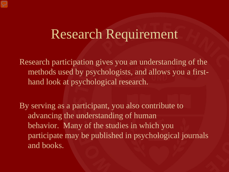Research participation gives you an understanding of the methods used by psychologists, and allows you a firsthand look at psychological research.

By serving as a participant, you also contribute to advancing the understanding of human behavior. Many of the studies in which you participate may be published in psychological journals and books.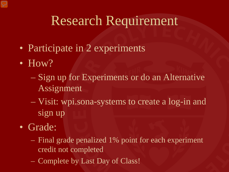- Participate in 2 experiments
- $\bullet$  How?
	- Sign up for Experiments or do an Alternative Assignment
	- Visit: wpi.sona-systems to create a log-in and sign up
- Grade:
	- Final grade penalized 1% point for each experiment credit not completed
	- Complete by Last Day of Class!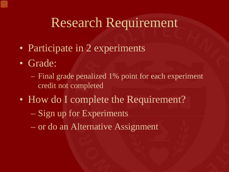- Participate in 2 experiments
- Grade:
	- Final grade penalized 1% point for each experiment credit not completed
- How do I complete the Requirement?
	- Sign up for Experiments
	- or do an Alternative Assignment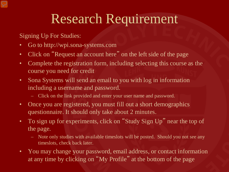Signing Up For Studies:

- Go to http://wpi.sona-systems.com
- Click on "Request an account here" on the left side of the page
- Complete the registration form, including selecting this course as the course you need for credit
- Sona Systems will send an email to you with log in information including a username and password.
	- Click on the link provided and enter your user name and password.
- Once you are registered, you must fill out a short demographics questionnaire. It should only take about 2 minutes.
- To sign up for experiments, click on "Study Sign Up" near the top of the page.
	- Note only studies with available timeslots will be posted. Should you not see any timeslots, check back later.
- You may change your password, email address, or contact information at any time by clicking on "My Profile" at the bottom of the page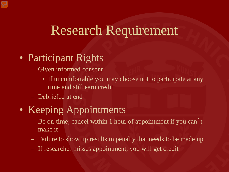- Participant Rights
	- Given informed consent
		- If uncomfortable you may choose not to participate at any time and still earn credit
	- Debriefed at end
- Keeping Appointments
	- Be on-time; cancel within 1 hour of appointment if you can't make it
	- Failure to show up results in penalty that needs to be made up
	- If researcher misses appointment, you will get credit